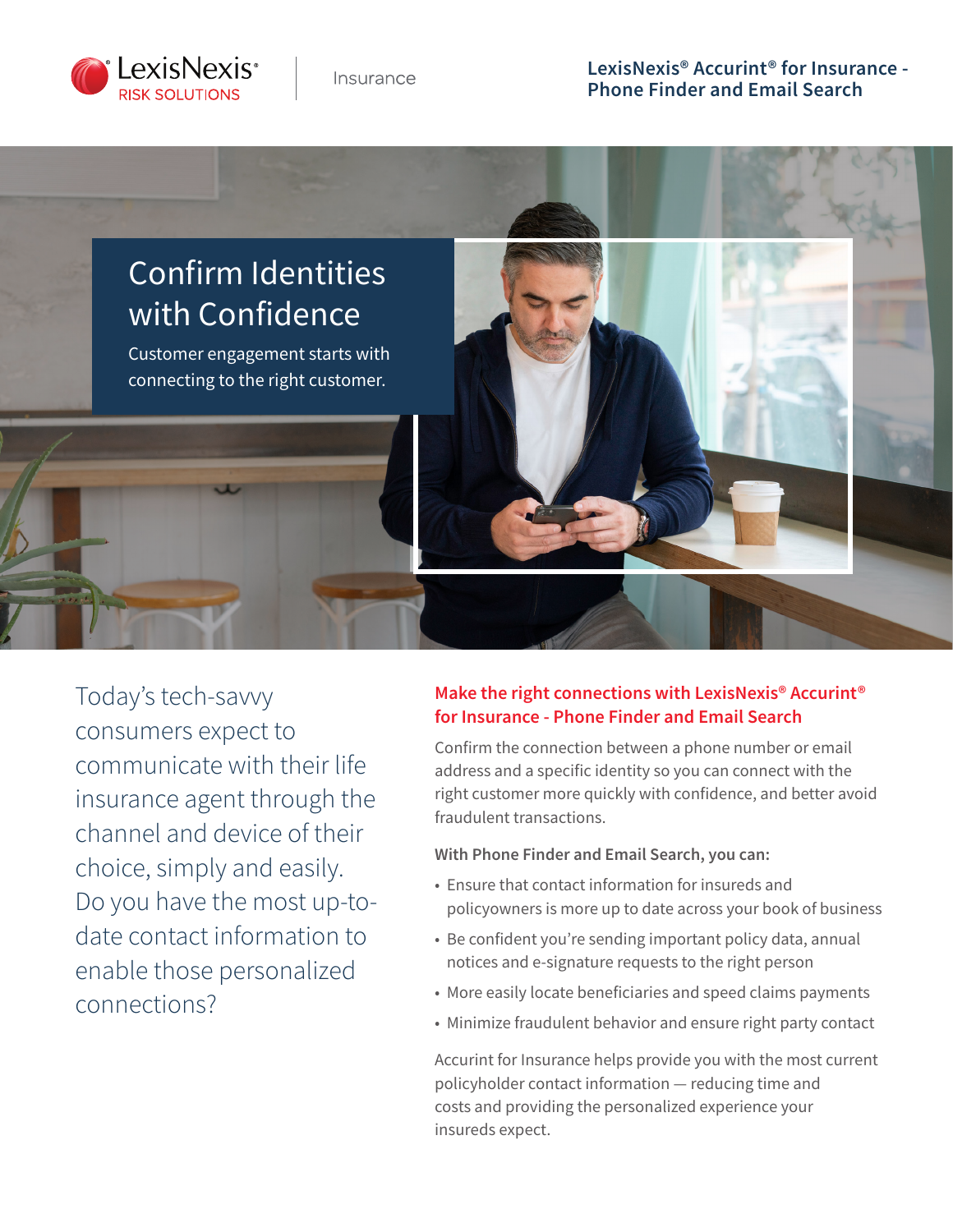

Insurance

## **LexisNexis® Accurint® for Insurance - Phone Finder and Email Search**



Today's tech-savvy consumers expect to communicate with their life insurance agent through the channel and device of their choice, simply and easily. Do you have the most up-todate contact information to enable those personalized connections?

### **Make the right connections with LexisNexis® Accurint® for Insurance - Phone Finder and Email Search**

Confirm the connection between a phone number or email address and a specific identity so you can connect with the right customer more quickly with confidence, and better avoid fraudulent transactions.

#### **With Phone Finder and Email Search, you can:**

- Ensure that contact information for insureds and policyowners is more up to date across your book of business
- Be confident you're sending important policy data, annual notices and e-signature requests to the right person
- More easily locate beneficiaries and speed claims payments
- Minimize fraudulent behavior and ensure right party contact

Accurint for Insurance helps provide you with the most current policyholder contact information ― reducing time and costs and providing the personalized experience your insureds expect.